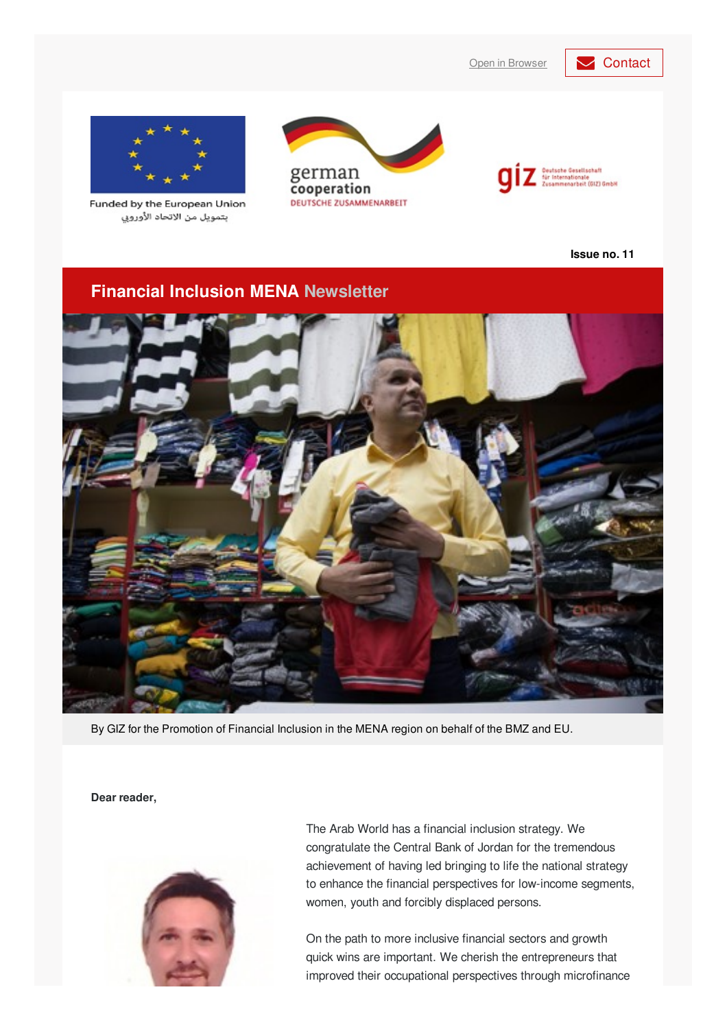Open in [Browser](https://login.mailingwork.de/email/testPreview/simulateMailingFunction/4605) **[Contact](mailto: financialinclusion-mena@giz.de?subject=Newsletter feedback)** 



Funded by the European Union بتمويل من الاتحاد الأوروبي





**Issue no. 11**

#### **Financial Inclusion MENA Newsletter**



By GIZ for the Promotion of Financial Inclusion in the MENA region on behalf of the BMZ and EU.

**Dear reader,**



The Arab World has a financial inclusion strategy. We congratulate the Central Bank of Jordan for the tremendous achievement of having led bringing to life the national strategy to enhance the financial perspectives for low-income segments, women, youth and forcibly displaced persons.

On the path to more inclusive financial sectors and growth quick wins are important. We cherish the entrepreneurs that improved their occupational perspectives through microfinance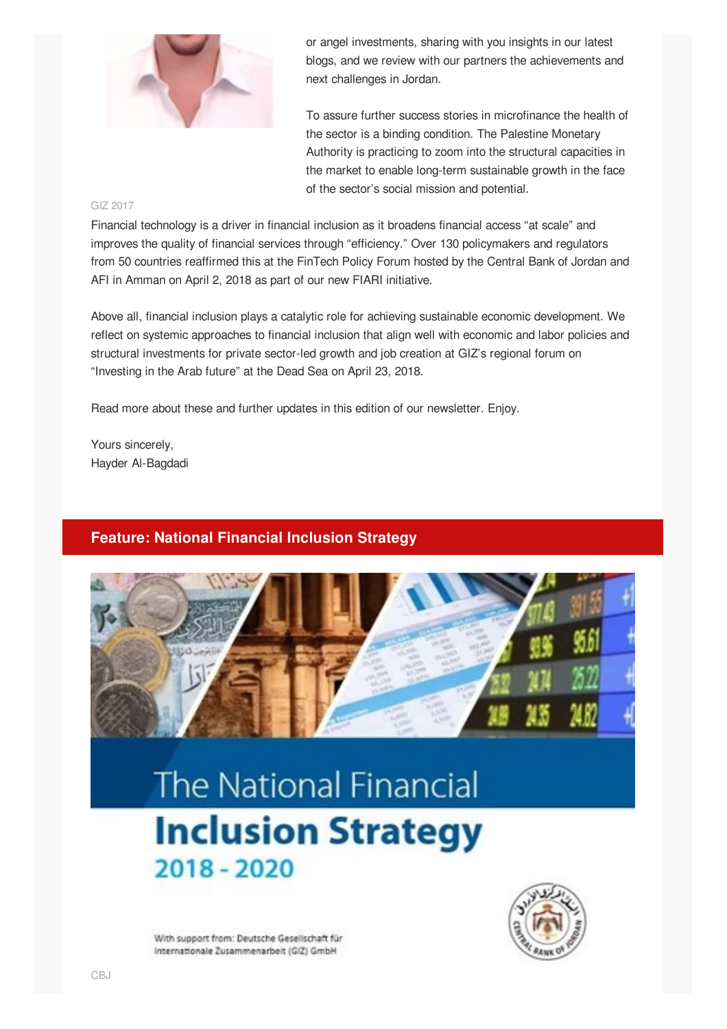

or angel investments, sharing with you insights in our latest blogs, and we review with our partners the achievements and next challenges in Jordan.

To assure further success stories in microfinance the health of the sector is a binding condition. The Palestine Monetary Authority is practicing to zoom into the structural capacities in the market to enable long-term sustainable growth in the face of the sector's social mission and potential.

#### GIZ 2017

Financial technology is a driver in financial inclusion as it broadens financial access "at scale" and improves the quality of financial services through "efficiency." Over 130 policymakers and regulators from 50 countries reaffirmed this at the FinTech Policy Forum hosted by the Central Bank of Jordan and AFI in Amman on April 2, 2018 as part of our new FIARI initiative.

Above all, financial inclusion plays a catalytic role for achieving sustainable economic development. We reflect on systemic approaches to financial inclusion that align well with economic and labor policies and structural investments for private sector-led growth and job creation at GIZ's regional forum on "Investing in the Arab future" at the Dead Sea on April 23, 2018.

Read more about these and further updates in this edition of our newsletter. Enjoy.

Yours sincerely, Hayder Al-Bagdadi

#### **Feature: National Financial Inclusion Strategy**



# **The National Financial Inclusion Strategy** 2018 - 2020



With support from: Deutsche Gesellschaft für Internationale Zusammenarbeit (GIZ) GmbH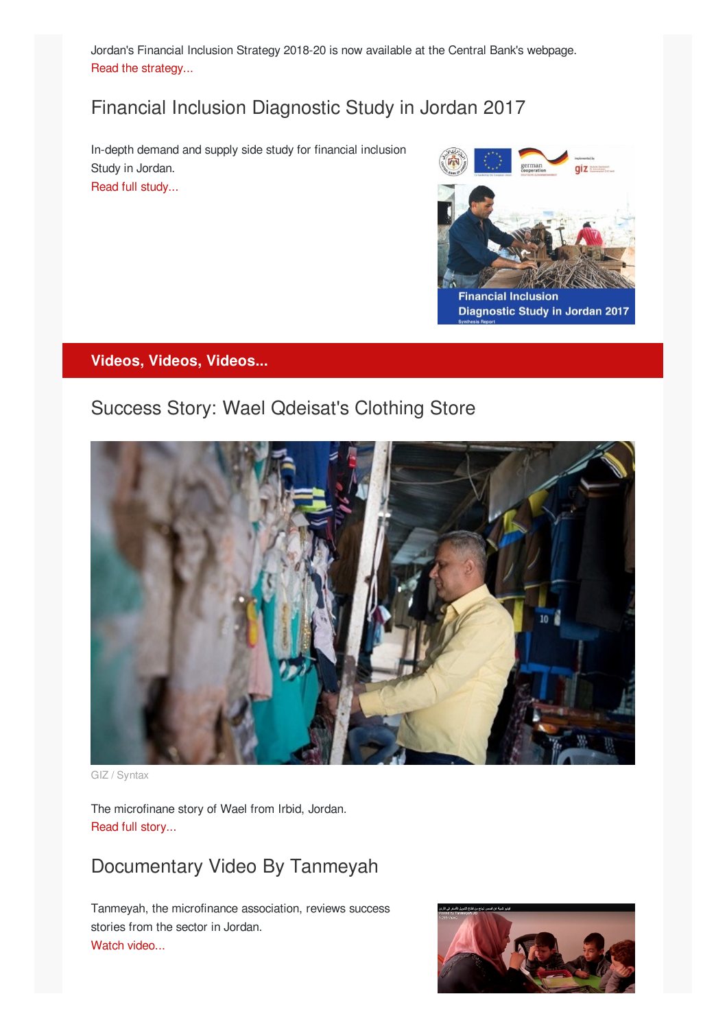Jordan's Financial Inclusion Strategy 2018-20 is now available at the Central Bank's webpage. Read the [strategy...](http://www.cbj.gov.jo/EchoBusv3.0/SystemAssets/PDFs/2018/The National Financial Inclusion Strategy A9.pdf)

# Financial Inclusion Diagnostic Study in Jordan 2017

In-depth demand and supply side study for financial inclusion Study in Jordan. Read full [study...](http://www.cbj.gov.jo/EchoBusv3.0/SystemAssets/PDFs/2018/Financial Inclusion Diagnostic Study in Jordan 2017.pdf)



#### **Videos, Videos, Videos...**

### Success Story: Wael Qdeisat's Clothing Store



GIZ / Syntax

The microfinane story of Wael from Irbid, Jordan. Read full [story...](http://microfinance-mena.org/news/wael-qdeisat-childrens-clothing-shop-irbid/)

### Documentary Video By Tanmeyah

Tanmeyah, the microfinance association, reviews success stories from the sector in Jordan. Watch [video...](https://web.facebook.com/TanmeyahJO/videos/420858131707025/?_rdc=1&_rdr)

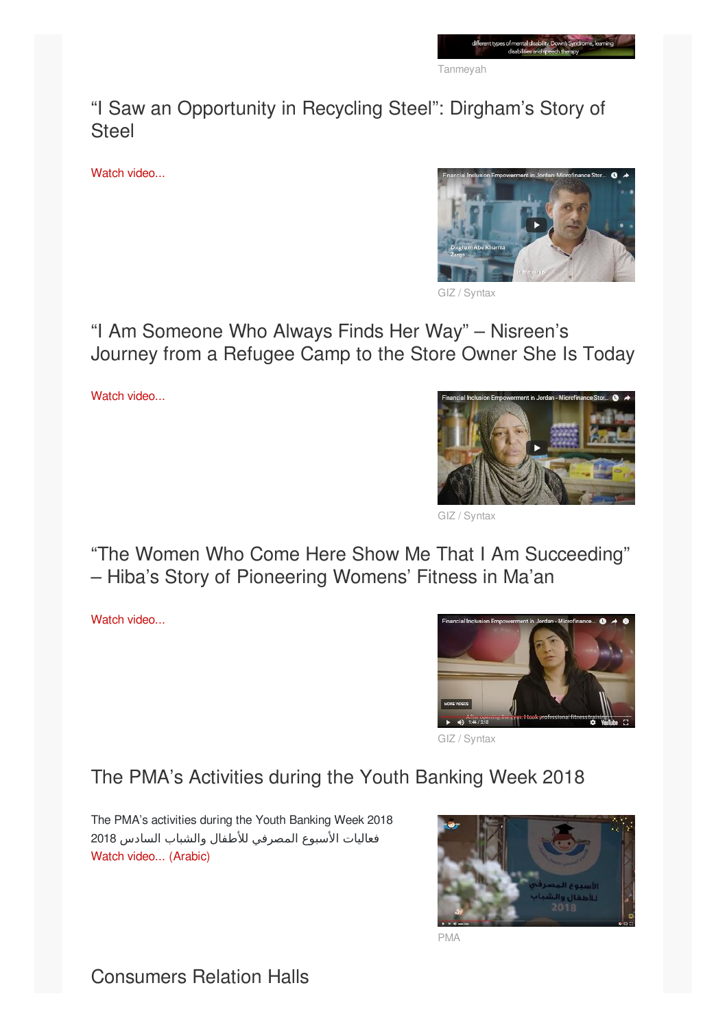Tanmeyah

"I Saw an Opportunity in Recycling Steel": Dirgham's Story of **Steel** 

Watch [video...](https://www.youtube.com/watch?v=d4q_qCxWld8)



/ Syntax

"I Am Someone Who Always Finds Her Way" – Nisreen's Journey from a Refugee Camp to the Store Owner She Is Today

Watch [video...](https://www.youtube.com/watch?v=ywk9I7mjCK4)



GIZ / Syntax

"The Women Who Come Here Show Me That I Am Succeeding" – Hiba's Story of Pioneering Womens' Fitness in Ma'an

Watch [video...](https://www.youtube.com/watch?v=ywk9I7mjCK4)



GIZ / Syntax

# The PMA's Activities during the Youth Banking Week 2018

The PMA's activities during the Youth Banking Week 2018 فعاليات الأسبوع المصرفي للأطفال والشباب السادس 2018 Watch video... [\(Arabic\)](https://www.youtube.com/watch?v=xUswGbNm90I)



PMA

Consumers Relation Halls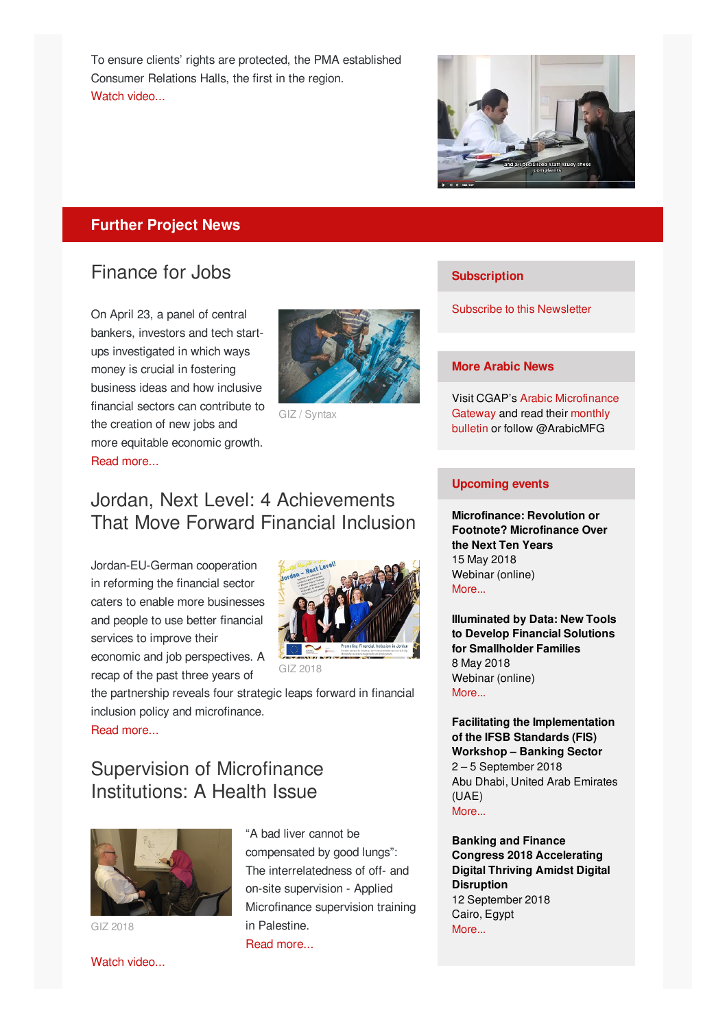To ensure clients' rights are protected, the PMA established Consumer Relations Halls, the first in the region. Watch [video...](https://www.youtube.com/watch?v=5zWttgf0hUg)



#### **Further Project News**

### Finance for Jobs

On April 23, a panel of central bankers, investors and tech startups investigated in which ways money is crucial in fostering business ideas and how inclusive financial sectors can contribute to the creation of new jobs and more equitable economic growth. Read [more...](http://microfinance-mena.org/news/finance-for-jobs/)



GIZ / Syntax

#### **Subscription**

Subscribe to this [Newsletter](mailto:financialinclusion-mena@giz.de?cc=alaa.alhyari@giz.de&subject=Newsletter subscription&body=Dear GIZ team, I would like to subscribe to your newsletter.)

#### **More Arabic News**

Visit CGAP's Arabic [Microfinance](https://www.microfinancegateway.org/ar) Gateway and read their monthly bulletin or follow [@ArabicMFG](https://www.microfinancegateway.org/ar/bulletin)

### Jordan, Next Level: 4 Achievements That Move Forward Financial Inclusion

Jordan-EU-German cooperation in reforming the financial sector caters to enable more businesses and people to use better financial services to improve their economic and job perspectives. A recap of the past three years of



GIZ 2018

the partnership reveals four strategic leaps forward in financial inclusion policy and microfinance.

Read [more...](http://microfinance-mena.org/news/supervision-microfinance-institutions-health-issue/)

## Supervision of Microfinance Institutions: A Health Issue



GIZ 2018

"A bad liver cannot be compensated by good lungs": The interrelatedness of off- and on-site supervision - Applied Microfinance supervision training in Palestine.

Read [more...](http://microfinance-mena.org/news/supervision-microfinance-institutions-health-issue/)

#### **Upcoming events**

**Microfinance: Revolution or Footnote? Microfinance Over the Next Ten Years** 15 May 2018 Webinar (online) [More...](https://www.microfinancegateway.org/gateway-webinar/microfinance-revolution-or-footnote-microfinance-over-next-ten-years)

**Illuminated by Data: New Tools to Develop Financial Solutions for Smallholder Families** 8 May 2018 Webinar (online) [More...](https://www.microfinancegateway.org/gateway-webinar/illuminated-data-new-tools-develop-financial-solutions-smallholder-families)

**Facilitating the Implementation of the IFSB Standards (FIS) Workshop – Banking Sector** 2 – 5 September 2018 Abu Dhabi, United Arab Emirates (UAE) [More...](https://www.ifsb.org/event_detail.php?e_id=322&selcategory=IFSB-FIS Workshop&selstatus=curr&txtsearchName=&selcount=)

**Banking and Finance Congress 2018 Accelerating Digital Thriving Amidst Digital Disruption** 12 September 2018 Cairo, Egypt [More...](https://www.idc.com/mea/events/65288-banking-and-finance-congress-2018)

Watch [video...](https://www.youtube.com/watch?v=VdbcwKHhcFM)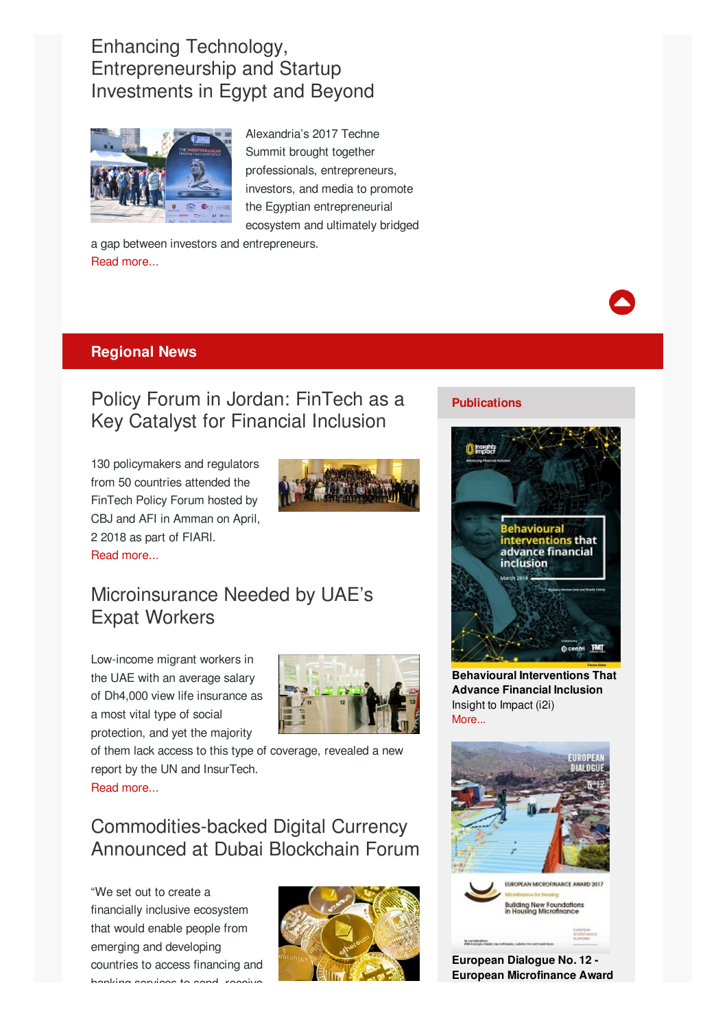# Enhancing Technology, Entrepreneurship and Startup Investments in Egypt and Beyond



Alexandria's 2017 Techne Summit brought together professionals, entrepreneurs, investors, and media to promote the Egyptian entrepreneurial ecosystem and ultimately bridged

a gap between investors and entrepreneurs. Read [more...](http://microfinance-mena.org/news/techne-summit-2017-enhancing-technology-entrepreneurship-startup-investments-egypt-beyond/)

#### **Regional News**

### Policy Forum in Jordan: FinTech as a Key Catalyst for Financial Inclusion

130 policymakers and regulators from 50 countries attended the FinTech Policy Forum hosted by CBJ and AFI in Amman on April, 2 2018 as part of FIARI. Read [more...](https://www.afi-global.org/news/2018/04/policy-forum-jordan-fintech-key-catalyst-financial-inclusion)



## Microinsurance Needed by UAE's Expat Workers

Low-income migrant workers in the UAE with an average salary of Dh4,000 view life insurance as a most vital type of social protection, and yet the majority



of them lack access to this type of coverage, revealed a new report by the UN and InsurTech.

Read [more...](https://www.khaleejtimes.com/nation/dubai/revealed-the-biggest-concerns-for-low-income-uae-expats-)

# Commodities-backed Digital Currency Announced at Dubai Blockchain Forum

"We set out to create a financially inclusive ecosystem that would enable people from emerging and developing countries to access financing and banking services to send, receive



#### **Publications**



**Behavioural Interventions That Advance Financial Inclusion** Insight to Impact (i2i) [More...](https://indd.adobe.com/view/ce10dc31-bd88-4e86-ad89-6a1c230c7d25)



**European Dialogue No. 12 - European Microfinance Award**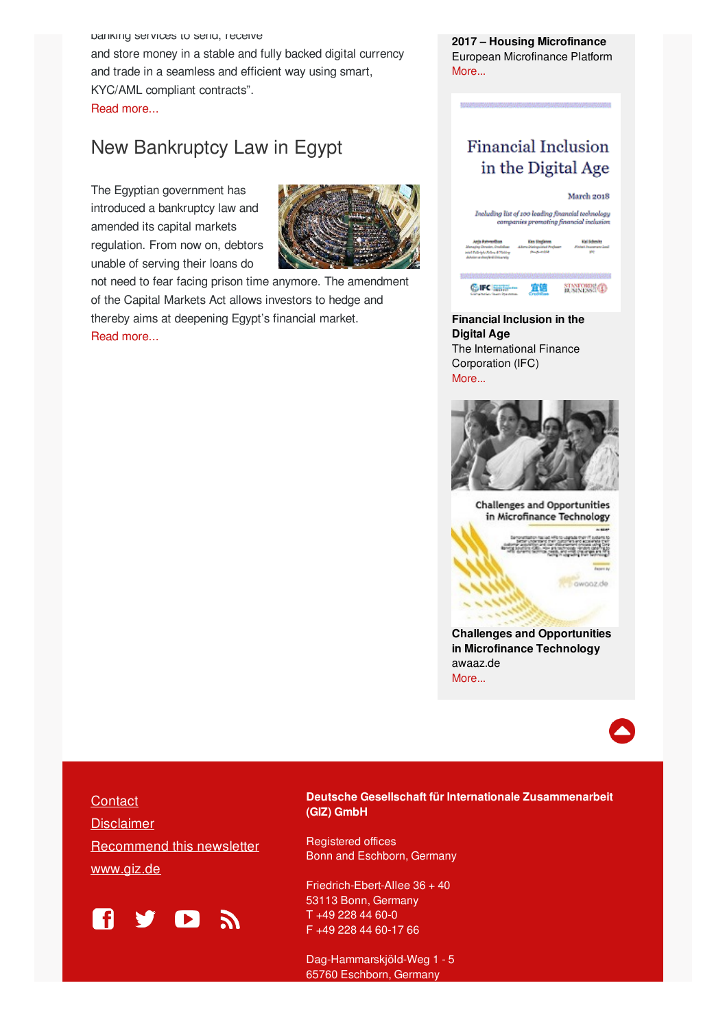banking services to send, receive and store money in a stable and fully backed digital currency and trade in a seamless and efficient way using smart, KYC/AML compliant contracts". Read [more...](https://www.zawya.com/mena/en/story/First_commodities_backed_digital_stable_currency_announced_at_Dubai_Blockchain_Forum-SNG_114486393/)

### New Bankruptcy Law in Egypt

The Egyptian government has introduced a bankruptcy law and amended its capital markets regulation. From now on, debtors unable of serving their loans do



not need to fear facing prison time anymore. The amendment of the Capital Markets Act allows investors to hedge and thereby aims at deepening Egypt's financial market. Read [more...](https://www.zawya.com/mena/en/story/Creating_a_worldclass_business_landscape_in_Egypt-SNG_114008459/)

**2017 – Housing Microfinance** European Microfinance Platform [More...](https://issuu.com/e-mfp/docs/european_dialogue_no._12_web)

### **Financial Inclusion** in the Digital Age



**Financial Inclusion in the Digital Age** The International Finance Corporation (IFC) [More...](https://www.ifc.org/wps/wcm/connect/f5784538-6812-4e06-b4db-699e86a0b2f2/Financial+Inclusion+in+the+Digital+Age.PDF?MOD=AJPERES)



**Challenges and Opportunities** in Microfinance Technology

c cwooz.de

**Challenges and Opportunities in Microfinance Technology** awaaz.de [More...](https://www.microfinancegateway.org/sites/default/files/publication_files/microfinance_technology_1.pdf)



**[Contact](mailto: financialinclusion-mena@giz.de?subject=Newsletter feedback) [Disclaimer](https://www.giz.de/de/newsletter/37575.html)** [Recommend](https://login.mailingwork.de/email/testPreview/simulateMailingFunction/4605) this newsletter [www.giz.de](https://www.giz.de)



**Deutsche Gesellschaft für Internationale Zusammenarbeit (GIZ) GmbH**

Registered offices Bonn and Eschborn, Germany

Friedrich-Ebert-Allee 36 + 40 53113 Bonn, Germany T +49 228 44 60-0 F +49 228 44 60-17 66

Dag-Hammarskjöld-Weg 1 - 5 65760 Eschborn, Germany